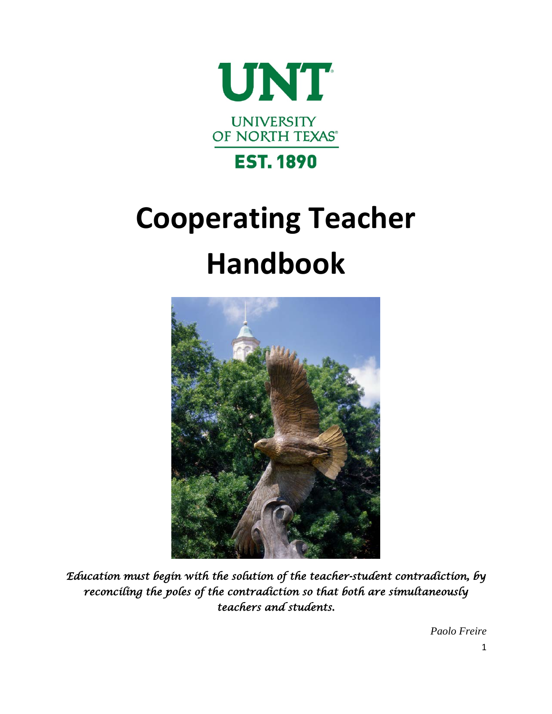

# **Cooperating Teacher Handbook**



*Education must begin with the solution of the teacher-student contradiction, by reconciling the poles of the contradiction so that both are simultaneously teachers and students.*

*Paolo Freire*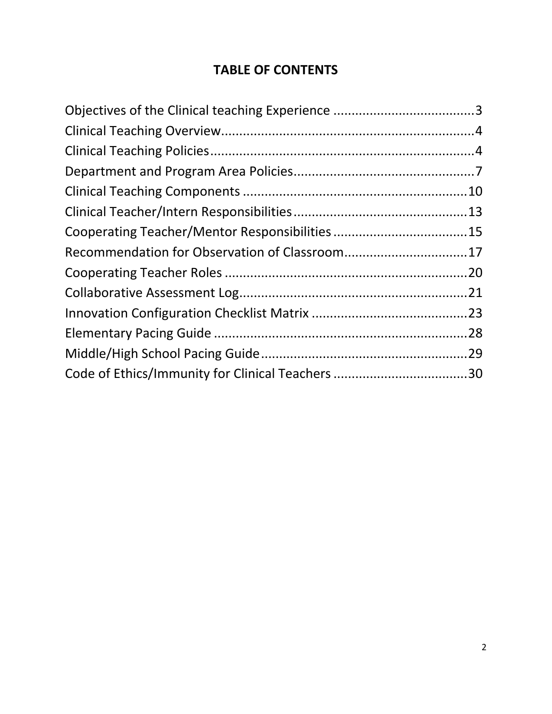# **TABLE OF CONTENTS**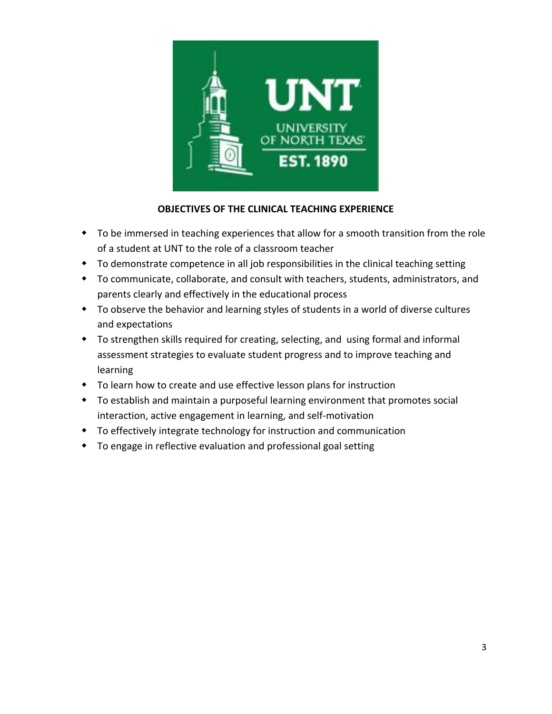

## **OBJECTIVES OF THE CLINICAL TEACHING EXPERIENCE**

- To be immersed in teaching experiences that allow for a smooth transition from the role of a student at UNT to the role of a classroom teacher
- To demonstrate competence in all job responsibilities in the clinical teaching setting
- To communicate, collaborate, and consult with teachers, students, administrators, and parents clearly and effectively in the educational process
- To observe the behavior and learning styles of students in a world of diverse cultures and expectations
- To strengthen skills required for creating, selecting, and using formal and informal assessment strategies to evaluate student progress and to improve teaching and learning
- To learn how to create and use effective lesson plans for instruction
- To establish and maintain a purposeful learning environment that promotes social interaction, active engagement in learning, and self-motivation
- To effectively integrate technology for instruction and communication
- To engage in reflective evaluation and professional goal setting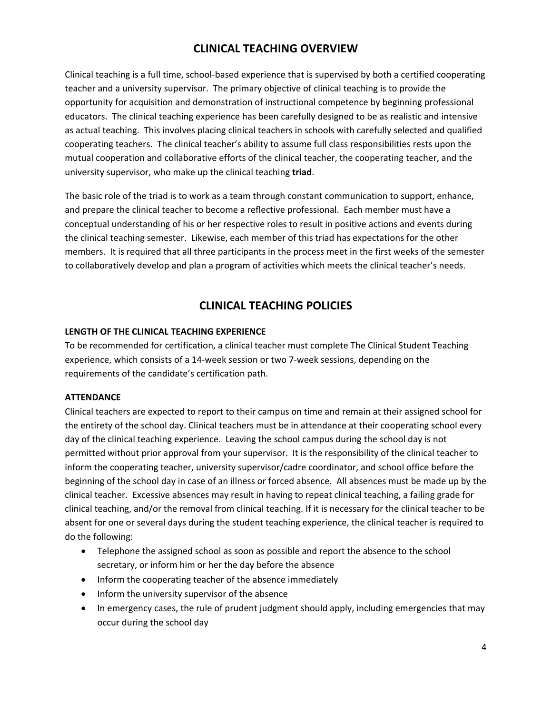## **CLINICAL TEACHING OVERVIEW**

Clinical teaching is a full time, school-based experience that is supervised by both a certified cooperating teacher and a university supervisor. The primary objective of clinical teaching is to provide the opportunity for acquisition and demonstration of instructional competence by beginning professional educators. The clinical teaching experience has been carefully designed to be as realistic and intensive as actual teaching. This involves placing clinical teachers in schools with carefully selected and qualified cooperating teachers. The clinical teacher's ability to assume full class responsibilities rests upon the mutual cooperation and collaborative efforts of the clinical teacher, the cooperating teacher, and the university supervisor, who make up the clinical teaching **triad**.

The basic role of the triad is to work as a team through constant communication to support, enhance, and prepare the clinical teacher to become a reflective professional. Each member must have a conceptual understanding of his or her respective roles to result in positive actions and events during the clinical teaching semester. Likewise, each member of this triad has expectations for the other members. It is required that all three participants in the process meet in the first weeks of the semester to collaboratively develop and plan a program of activities which meets the clinical teacher's needs.

## **CLINICAL TEACHING POLICIES**

#### **LENGTH OF THE CLINICAL TEACHING EXPERIENCE**

To be recommended for certification, a clinical teacher must complete The Clinical Student Teaching experience, which consists of a 14-week session or two 7-week sessions, depending on the requirements of the candidate's certification path.

#### **ATTENDANCE**

Clinical teachers are expected to report to their campus on time and remain at their assigned school for the entirety of the school day. Clinical teachers must be in attendance at their cooperating school every day of the clinical teaching experience. Leaving the school campus during the school day is not permitted without prior approval from your supervisor. It is the responsibility of the clinical teacher to inform the cooperating teacher, university supervisor/cadre coordinator, and school office before the beginning of the school day in case of an illness or forced absence. All absences must be made up by the clinical teacher. Excessive absences may result in having to repeat clinical teaching, a failing grade for clinical teaching, and/or the removal from clinical teaching. If it is necessary for the clinical teacher to be absent for one or several days during the student teaching experience, the clinical teacher is required to do the following:

- Telephone the assigned school as soon as possible and report the absence to the school secretary, or inform him or her the day before the absence
- Inform the cooperating teacher of the absence immediately
- Inform the university supervisor of the absence
- In emergency cases, the rule of prudent judgment should apply, including emergencies that may occur during the school day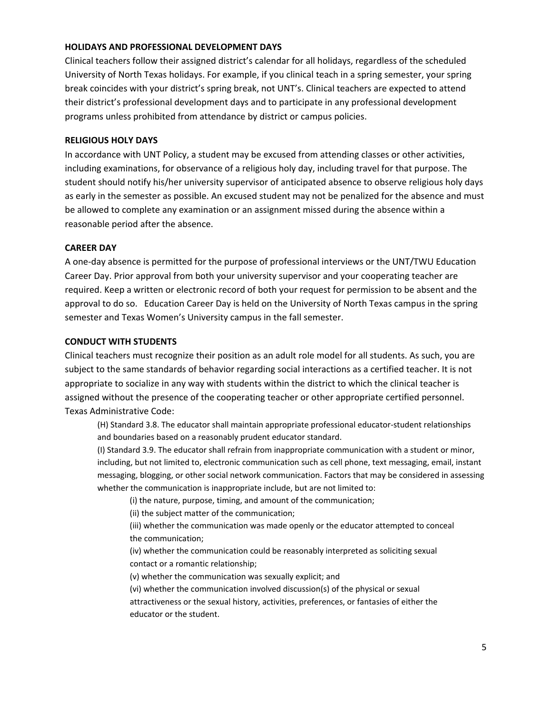#### **HOLIDAYS AND PROFESSIONAL DEVELOPMENT DAYS**

Clinical teachers follow their assigned district's calendar for all holidays, regardless of the scheduled University of North Texas holidays. For example, if you clinical teach in a spring semester, your spring break coincides with your district's spring break, not UNT's. Clinical teachers are expected to attend their district's professional development days and to participate in any professional development programs unless prohibited from attendance by district or campus policies.

#### **RELIGIOUS HOLY DAYS**

In accordance with UNT Policy, a student may be excused from attending classes or other activities, including examinations, for observance of a religious holy day, including travel for that purpose. The student should notify his/her university supervisor of anticipated absence to observe religious holy days as early in the semester as possible. An excused student may not be penalized for the absence and must be allowed to complete any examination or an assignment missed during the absence within a reasonable period after the absence.

#### **CAREER DAY**

A one-day absence is permitted for the purpose of professional interviews or the UNT/TWU Education Career Day. Prior approval from both your university supervisor and your cooperating teacher are required. Keep a written or electronic record of both your request for permission to be absent and the approval to do so. Education Career Day is held on the University of North Texas campus in the spring semester and Texas Women's University campus in the fall semester.

#### **CONDUCT WITH STUDENTS**

Clinical teachers must recognize their position as an adult role model for all students. As such, you are subject to the same standards of behavior regarding social interactions as a certified teacher. It is not appropriate to socialize in any way with students within the district to which the clinical teacher is assigned without the presence of the cooperating teacher or other appropriate certified personnel. Texas Administrative Code:

(H) Standard 3.8. The educator shall maintain appropriate professional educator-student relationships and boundaries based on a reasonably prudent educator standard.

(I) Standard 3.9. The educator shall refrain from inappropriate communication with a student or minor, including, but not limited to, electronic communication such as cell phone, text messaging, email, instant messaging, blogging, or other social network communication. Factors that may be considered in assessing whether the communication is inappropriate include, but are not limited to:

(i) the nature, purpose, timing, and amount of the communication;

(ii) the subject matter of the communication;

 (iii) whether the communication was made openly or the educator attempted to conceal the communication;

 (iv) whether the communication could be reasonably interpreted as soliciting sexual contact or a romantic relationship;

(v) whether the communication was sexually explicit; and

 (vi) whether the communication involved discussion(s) of the physical or sexual attractiveness or the sexual history, activities, preferences, or fantasies of either the educator or the student.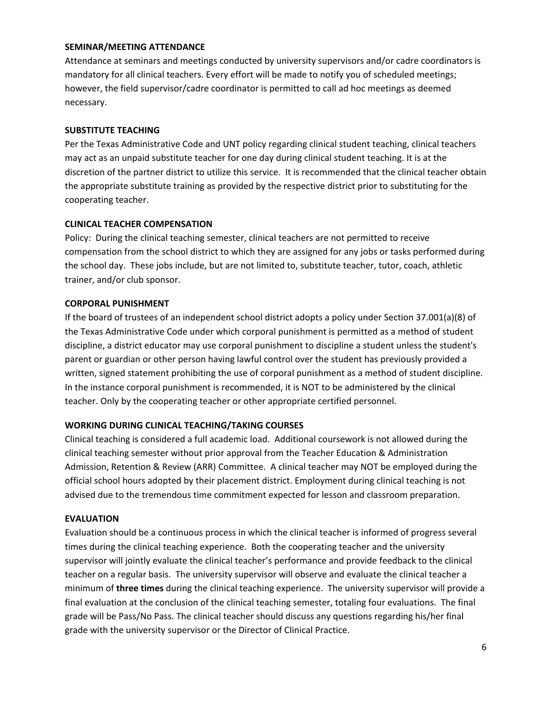#### **SEMINAR/MEETING ATTENDANCE**

Attendance at seminars and meetings conducted by university supervisors and/or cadre coordinators is mandatory for all clinical teachers. Every effort will be made to notify you of scheduled meetings; however, the field supervisor/cadre coordinator is permitted to call ad hoc meetings as deemed necessary.

#### **SUBSTITUTE TEACHING**

Per the Texas Administrative Code and UNT policy regarding clinical student teaching, clinical teachers may act as an unpaid substitute teacher for one day during clinical student teaching. It is at the discretion of the partner district to utilize this service. It is recommended that the clinical teacher obtain the appropriate substitute training as provided by the respective district prior to substituting for the cooperating teacher.

#### **CLINICAL TEACHER COMPENSATION**

Policy: During the clinical teaching semester, clinical teachers are not permitted to receive compensation from the school district to which they are assigned for any jobs or tasks performed during the school day. These jobs include, but are not limited to, substitute teacher, tutor, coach, athletic trainer, and/or club sponsor.

#### **CORPORAL PUNISHMENT**

If the board of trustees of an independent school district adopts a policy under Section 37.001(a)(8) of the Texas Administrative Code under which corporal punishment is permitted as a method of student discipline, a district educator may use corporal punishment to discipline a student unless the student's parent or guardian or other person having lawful control over the student has previously provided a written, signed statement prohibiting the use of corporal punishment as a method of student discipline. In the instance corporal punishment is recommended, it is NOT to be administered by the clinical teacher. Only by the cooperating teacher or other appropriate certified personnel.

#### **WORKING DURING CLINICAL TEACHING/TAKING COURSES**

Clinical teaching is considered a full academic load. Additional coursework is not allowed during the clinical teaching semester without prior approval from the Teacher Education & Administration Admission, Retention & Review (ARR) Committee. A clinical teacher may NOT be employed during the official school hours adopted by their placement district. Employment during clinical teaching is not advised due to the tremendous time commitment expected for lesson and classroom preparation.

#### **EVALUATION**

Evaluation should be a continuous process in which the clinical teacher is informed of progress several times during the clinical teaching experience. Both the cooperating teacher and the university supervisor will jointly evaluate the clinical teacher's performance and provide feedback to the clinical teacher on a regular basis. The university supervisor will observe and evaluate the clinical teacher a minimum of **three times** during the clinical teaching experience. The university supervisor will provide a final evaluation at the conclusion of the clinical teaching semester, totaling four evaluations. The final grade will be Pass/No Pass. The clinical teacher should discuss any questions regarding his/her final grade with the university supervisor or the Director of Clinical Practice.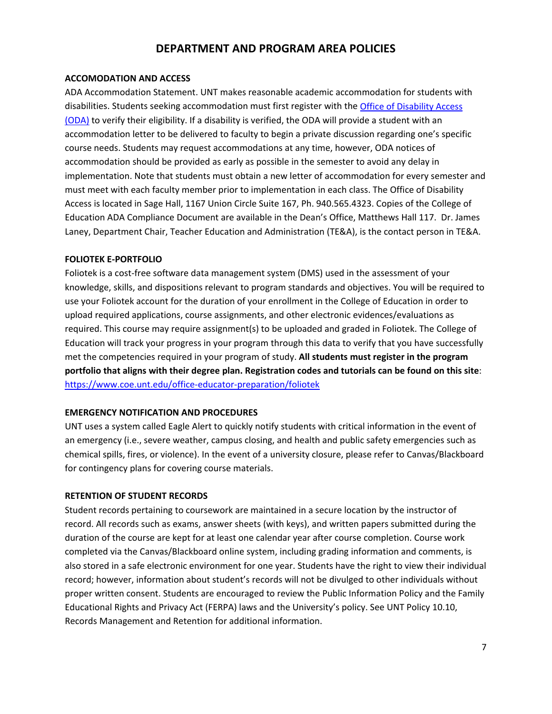## **DEPARTMENT AND PROGRAM AREA POLICIES**

#### **ACCOMODATION AND ACCESS**

ADA Accommodation Statement. UNT makes reasonable academic accommodation for students with disabilities. Students seeking accommodation must first register with the [Office of Disability Access](http://disability.unt.edu/)  [\(ODA\)](http://disability.unt.edu/) to verify their eligibility. If a disability is verified, the ODA will provide a student with an accommodation letter to be delivered to faculty to begin a private discussion regarding one's specific course needs. Students may request accommodations at any time, however, ODA notices of accommodation should be provided as early as possible in the semester to avoid any delay in implementation. Note that students must obtain a new letter of accommodation for every semester and must meet with each faculty member prior to implementation in each class. The Office of Disability Access is located in Sage Hall, 1167 Union Circle Suite 167, Ph. 940.565.4323. Copies of the College of Education ADA Compliance Document are available in the Dean's Office, Matthews Hall 117. Dr. James Laney, Department Chair, Teacher Education and Administration (TE&A), is the contact person in TE&A.

#### **FOLIOTEK E-PORTFOLIO**

Foliotek is a cost-free software data management system (DMS) used in the assessment of your knowledge, skills, and dispositions relevant to program standards and objectives. You will be required to use your Foliotek account for the duration of your enrollment in the College of Education in order to upload required applications, course assignments, and other electronic evidences/evaluations as required. This course may require assignment(s) to be uploaded and graded in Foliotek. The College of Education will track your progress in your program through this data to verify that you have successfully met the competencies required in your program of study. **All students must register in the program portfolio that aligns with their degree plan. Registration codes and tutorials can be found on this site**: <https://www.coe.unt.edu/office-educator-preparation/foliotek>

#### **EMERGENCY NOTIFICATION AND PROCEDURES**

UNT uses a system called Eagle Alert to quickly notify students with critical information in the event of an emergency (i.e., severe weather, campus closing, and health and public safety emergencies such as chemical spills, fires, or violence). In the event of a university closure, please refer to Canvas/Blackboard for contingency plans for covering course materials.

#### **RETENTION OF STUDENT RECORDS**

Student records pertaining to coursework are maintained in a secure location by the instructor of record. All records such as exams, answer sheets (with keys), and written papers submitted during the duration of the course are kept for at least one calendar year after course completion. Course work completed via the Canvas/Blackboard online system, including grading information and comments, is also stored in a safe electronic environment for one year. Students have the right to view their individual record; however, information about student's records will not be divulged to other individuals without proper written consent. Students are encouraged to review the Public Information Policy and the Family Educational Rights and Privacy Act (FERPA) laws and the University's policy. See UNT Policy 10.10, Records Management and Retention for additional information.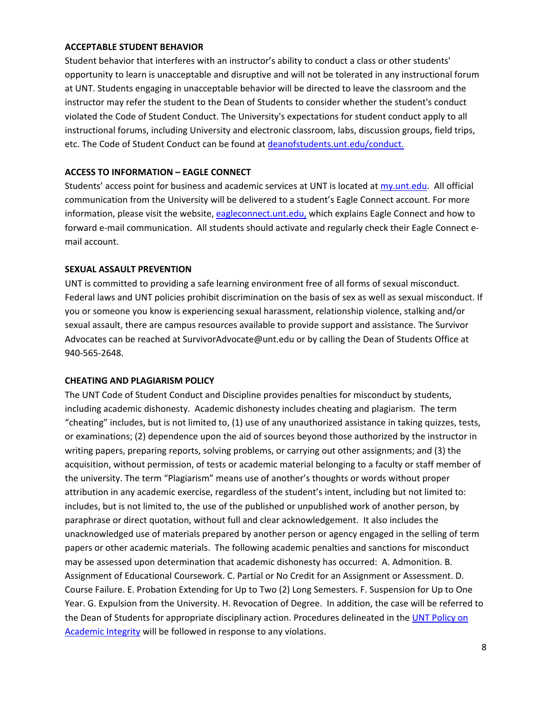#### **ACCEPTABLE STUDENT BEHAVIOR**

Student behavior that interferes with an instructor's ability to conduct a class or other students' opportunity to learn is unacceptable and disruptive and will not be tolerated in any instructional forum at UNT. Students engaging in unacceptable behavior will be directed to leave the classroom and the instructor may refer the student to the Dean of Students to consider whether the student's conduct violated the Code of Student Conduct. The University's expectations for student conduct apply to all instructional forums, including University and electronic classroom, labs, discussion groups, field trips, etc. The Code of Student Conduct can be found at [deanofstudents.unt.edu/conduct.](http://deanofstudents.unt.edu/)

#### **ACCESS TO INFORMATION – EAGLE CONNECT**

Students' access point for business and academic services at UNT is located at [my.unt.edu.](https://my.unt.edu/psp/papd01/EMPLOYEE/EMPL/h/?tab=NTPA_GUEST) All official communication from the University will be delivered to a student's Eagle Connect account. For more information, please visit the website, [eagleconnect.unt.edu,](http://it.unt.edu/eagleconnect) which explains Eagle Connect and how to forward e-mail communication. All students should activate and regularly check their Eagle Connect email account.

#### **SEXUAL ASSAULT PREVENTION**

UNT is committed to providing a safe learning environment free of all forms of sexual misconduct. Federal laws and UNT policies prohibit discrimination on the basis of sex as well as sexual misconduct. If you or someone you know is experiencing sexual harassment, relationship violence, stalking and/or sexual assault, there are campus resources available to provide support and assistance. The Survivor Advocates can be reached at SurvivorAdvocate@unt.edu or by calling the Dean of Students Office at 940-565-2648.

#### **CHEATING AND PLAGIARISM POLICY**

The UNT Code of Student Conduct and Discipline provides penalties for misconduct by students, including academic dishonesty. Academic dishonesty includes cheating and plagiarism. The term "cheating" includes, but is not limited to, (1) use of any unauthorized assistance in taking quizzes, tests, or examinations; (2) dependence upon the aid of sources beyond those authorized by the instructor in writing papers, preparing reports, solving problems, or carrying out other assignments; and (3) the acquisition, without permission, of tests or academic material belonging to a faculty or staff member of the university. The term "Plagiarism" means use of another's thoughts or words without proper attribution in any academic exercise, regardless of the student's intent, including but not limited to: includes, but is not limited to, the use of the published or unpublished work of another person, by paraphrase or direct quotation, without full and clear acknowledgement. It also includes the unacknowledged use of materials prepared by another person or agency engaged in the selling of term papers or other academic materials. The following academic penalties and sanctions for misconduct may be assessed upon determination that academic dishonesty has occurred: A. Admonition. B. Assignment of Educational Coursework. C. Partial or No Credit for an Assignment or Assessment. D. Course Failure. E. Probation Extending for Up to Two (2) Long Semesters. F. Suspension for Up to One Year. G. Expulsion from the University. H. Revocation of Degree. In addition, the case will be referred to the Dean of Students for appropriate disciplinary action. Procedures delineated in the UNT Policy on [Academic Integrity](http://policy.unt.edu/sites/default/files/06.003.pdf) will be followed in response to any violations.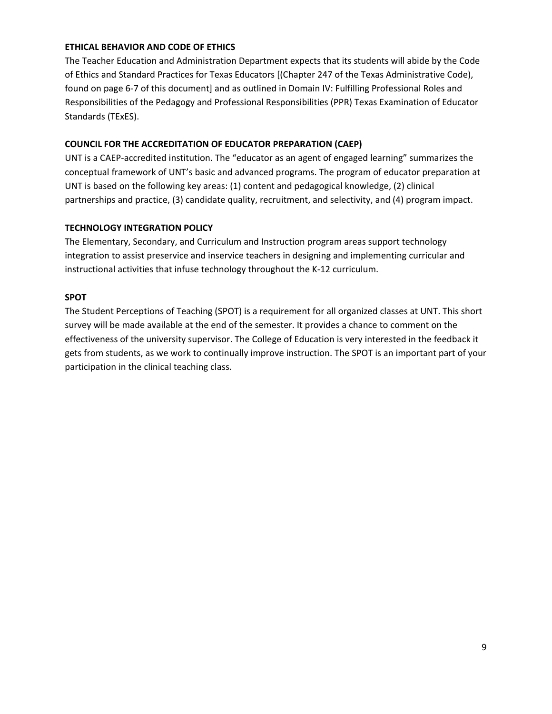#### **ETHICAL BEHAVIOR AND CODE OF ETHICS**

The Teacher Education and Administration Department expects that its students will abide by the Code of Ethics and Standard Practices for Texas Educators [(Chapter 247 of the Texas Administrative Code), found on page 6-7 of this document] and as outlined in Domain IV: Fulfilling Professional Roles and Responsibilities of the Pedagogy and Professional Responsibilities (PPR) Texas Examination of Educator Standards (TExES).

#### **COUNCIL FOR THE ACCREDITATION OF EDUCATOR PREPARATION (CAEP)**

UNT is a CAEP-accredited institution. The "educator as an agent of engaged learning" summarizes the conceptual framework of UNT's basic and advanced programs. The program of educator preparation at UNT is based on the following key areas: (1) content and pedagogical knowledge, (2) clinical partnerships and practice, (3) candidate quality, recruitment, and selectivity, and (4) program impact.

#### **TECHNOLOGY INTEGRATION POLICY**

The Elementary, Secondary, and Curriculum and Instruction program areas support technology integration to assist preservice and inservice teachers in designing and implementing curricular and instructional activities that infuse technology throughout the K-12 curriculum.

#### **SPOT**

The Student Perceptions of Teaching (SPOT) is a requirement for all organized classes at UNT. This short survey will be made available at the end of the semester. It provides a chance to comment on the effectiveness of the university supervisor. The College of Education is very interested in the feedback it gets from students, as we work to continually improve instruction. The SPOT is an important part of your participation in the clinical teaching class.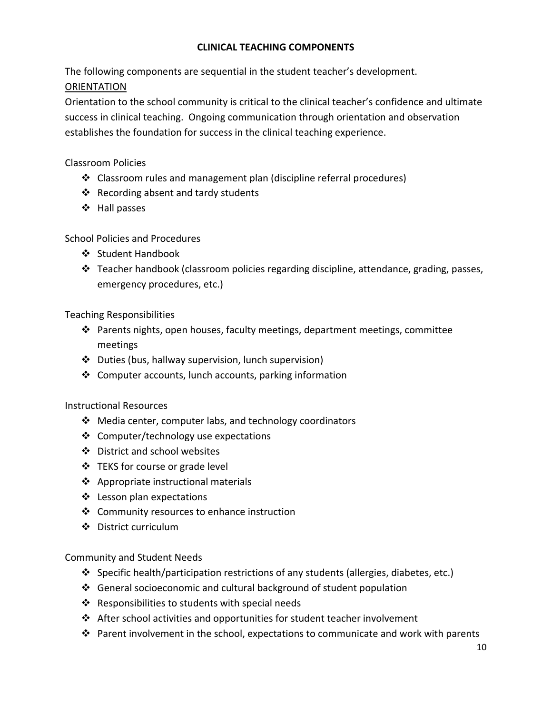## **CLINICAL TEACHING COMPONENTS**

The following components are sequential in the student teacher's development. ORIENTATION

Orientation to the school community is critical to the clinical teacher's confidence and ultimate success in clinical teaching. Ongoing communication through orientation and observation establishes the foundation for success in the clinical teaching experience.

## Classroom Policies

- Classroom rules and management plan (discipline referral procedures)
- ❖ Recording absent and tardy students
- ❖ Hall passes

School Policies and Procedures

- ❖ Student Handbook
- $\div$  Teacher handbook (classroom policies regarding discipline, attendance, grading, passes, emergency procedures, etc.)

Teaching Responsibilities

- $\hat{\mathbf{v}}$  Parents nights, open houses, faculty meetings, department meetings, committee meetings
- Duties (bus, hallway supervision, lunch supervision)
- ❖ Computer accounts, lunch accounts, parking information

Instructional Resources

- ❖ Media center, computer labs, and technology coordinators
- ❖ Computer/technology use expectations
- District and school websites
- $\div$  TEKS for course or grade level
- ❖ Appropriate instructional materials
- ❖ Lesson plan expectations
- Community resources to enhance instruction
- ❖ District curriculum

Community and Student Needs

- Specific health/participation restrictions of any students (allergies, diabetes, etc.)
- $\cdot \cdot$  General socioeconomic and cultural background of student population
- ❖ Responsibilities to students with special needs
- $\cdot \cdot$  After school activities and opportunities for student teacher involvement
- **\*** Parent involvement in the school, expectations to communicate and work with parents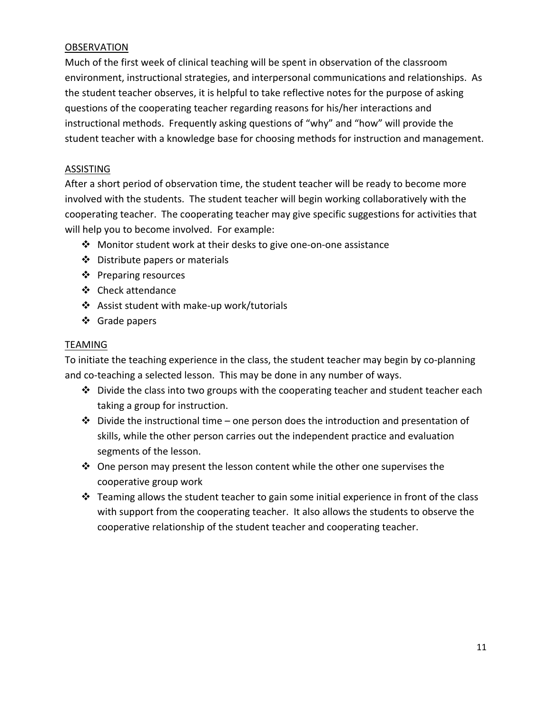## OBSERVATION

Much of the first week of clinical teaching will be spent in observation of the classroom environment, instructional strategies, and interpersonal communications and relationships. As the student teacher observes, it is helpful to take reflective notes for the purpose of asking questions of the cooperating teacher regarding reasons for his/her interactions and instructional methods. Frequently asking questions of "why" and "how" will provide the student teacher with a knowledge base for choosing methods for instruction and management.

## ASSISTING

After a short period of observation time, the student teacher will be ready to become more involved with the students. The student teacher will begin working collaboratively with the cooperating teacher. The cooperating teacher may give specific suggestions for activities that will help you to become involved. For example:

- Monitor student work at their desks to give one-on-one assistance
- ❖ Distribute papers or materials
- ❖ Preparing resources
- ❖ Check attendance
- Assist student with make-up work/tutorials
- Grade papers

#### TEAMING

To initiate the teaching experience in the class, the student teacher may begin by co-planning and co-teaching a selected lesson. This may be done in any number of ways.

- $\clubsuit$  Divide the class into two groups with the cooperating teacher and student teacher each taking a group for instruction.
- $\cdot \cdot$  Divide the instructional time one person does the introduction and presentation of skills, while the other person carries out the independent practice and evaluation segments of the lesson.
- $\div$  One person may present the lesson content while the other one supervises the cooperative group work
- $\div$  Teaming allows the student teacher to gain some initial experience in front of the class with support from the cooperating teacher. It also allows the students to observe the cooperative relationship of the student teacher and cooperating teacher.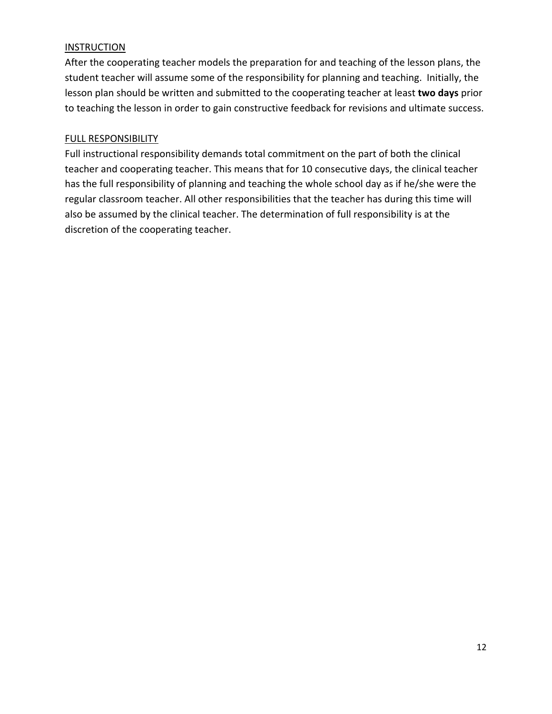## INSTRUCTION

After the cooperating teacher models the preparation for and teaching of the lesson plans, the student teacher will assume some of the responsibility for planning and teaching. Initially, the lesson plan should be written and submitted to the cooperating teacher at least **two days** prior to teaching the lesson in order to gain constructive feedback for revisions and ultimate success.

## FULL RESPONSIBILITY

Full instructional responsibility demands total commitment on the part of both the clinical teacher and cooperating teacher. This means that for 10 consecutive days, the clinical teacher has the full responsibility of planning and teaching the whole school day as if he/she were the regular classroom teacher. All other responsibilities that the teacher has during this time will also be assumed by the clinical teacher. The determination of full responsibility is at the discretion of the cooperating teacher.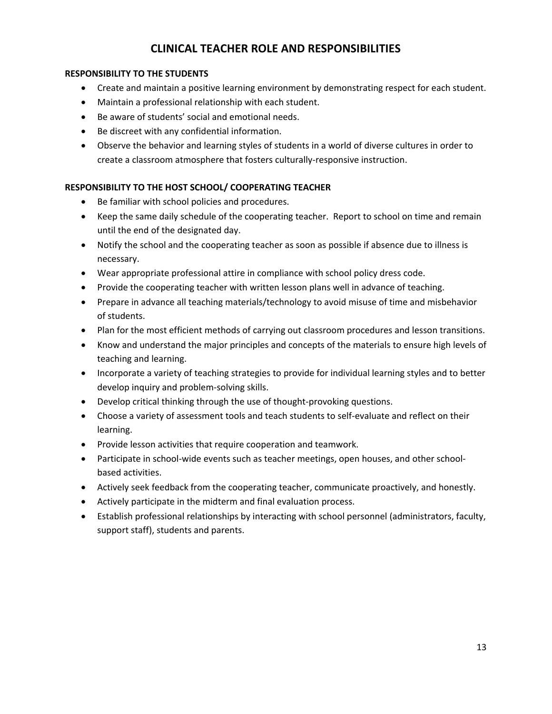## **CLINICAL TEACHER ROLE AND RESPONSIBILITIES**

#### **RESPONSIBILITY TO THE STUDENTS**

- Create and maintain a positive learning environment by demonstrating respect for each student.
- Maintain a professional relationship with each student.
- Be aware of students' social and emotional needs.
- Be discreet with any confidential information.
- Observe the behavior and learning styles of students in a world of diverse cultures in order to create a classroom atmosphere that fosters culturally-responsive instruction.

#### **RESPONSIBILITY TO THE HOST SCHOOL/ COOPERATING TEACHER**

- Be familiar with school policies and procedures.
- Keep the same daily schedule of the cooperating teacher. Report to school on time and remain until the end of the designated day.
- Notify the school and the cooperating teacher as soon as possible if absence due to illness is necessary.
- Wear appropriate professional attire in compliance with school policy dress code.
- Provide the cooperating teacher with written lesson plans well in advance of teaching.
- Prepare in advance all teaching materials/technology to avoid misuse of time and misbehavior of students.
- Plan for the most efficient methods of carrying out classroom procedures and lesson transitions.
- Know and understand the major principles and concepts of the materials to ensure high levels of teaching and learning.
- Incorporate a variety of teaching strategies to provide for individual learning styles and to better develop inquiry and problem-solving skills.
- Develop critical thinking through the use of thought-provoking questions.
- Choose a variety of assessment tools and teach students to self-evaluate and reflect on their learning.
- Provide lesson activities that require cooperation and teamwork.
- Participate in school-wide events such as teacher meetings, open houses, and other schoolbased activities.
- Actively seek feedback from the cooperating teacher, communicate proactively, and honestly.
- Actively participate in the midterm and final evaluation process.
- Establish professional relationships by interacting with school personnel (administrators, faculty, support staff), students and parents.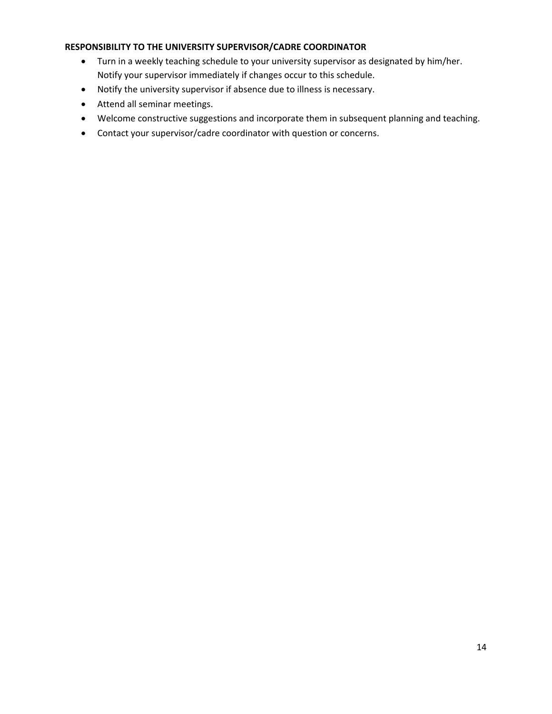#### **RESPONSIBILITY TO THE UNIVERSITY SUPERVISOR/CADRE COORDINATOR**

- Turn in a weekly teaching schedule to your university supervisor as designated by him/her. Notify your supervisor immediately if changes occur to this schedule.
- Notify the university supervisor if absence due to illness is necessary.
- Attend all seminar meetings.
- Welcome constructive suggestions and incorporate them in subsequent planning and teaching.
- Contact your supervisor/cadre coordinator with question or concerns.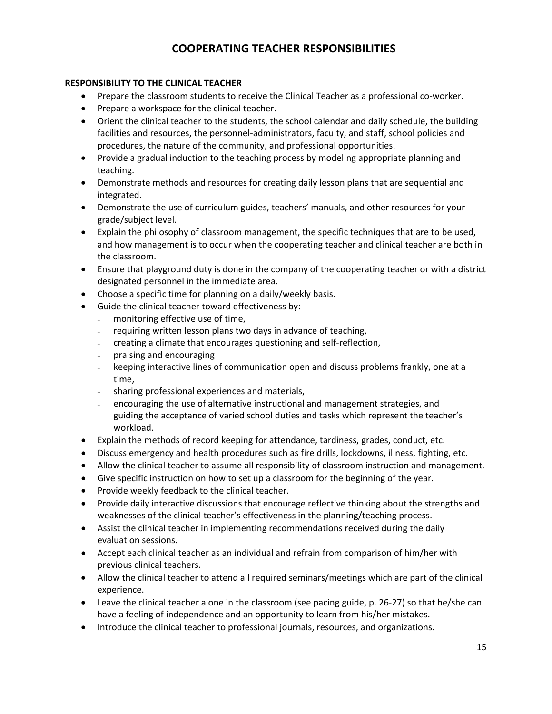## **COOPERATING TEACHER RESPONSIBILITIES**

#### **RESPONSIBILITY TO THE CLINICAL TEACHER**

- Prepare the classroom students to receive the Clinical Teacher as a professional co-worker.
- Prepare a workspace for the clinical teacher.
- Orient the clinical teacher to the students, the school calendar and daily schedule, the building facilities and resources, the personnel-administrators, faculty, and staff, school policies and procedures, the nature of the community, and professional opportunities.
- Provide a gradual induction to the teaching process by modeling appropriate planning and teaching.
- Demonstrate methods and resources for creating daily lesson plans that are sequential and integrated.
- Demonstrate the use of curriculum guides, teachers' manuals, and other resources for your grade/subject level.
- Explain the philosophy of classroom management, the specific techniques that are to be used, and how management is to occur when the cooperating teacher and clinical teacher are both in the classroom.
- Ensure that playground duty is done in the company of the cooperating teacher or with a district designated personnel in the immediate area.
- Choose a specific time for planning on a daily/weekly basis.
- Guide the clinical teacher toward effectiveness by:
	- monitoring effective use of time,
	- requiring written lesson plans two days in advance of teaching,
	- creating a climate that encourages questioning and self-reflection,
	- praising and encouraging
	- keeping interactive lines of communication open and discuss problems frankly, one at a time,
	- sharing professional experiences and materials,
	- encouraging the use of alternative instructional and management strategies, and
	- guiding the acceptance of varied school duties and tasks which represent the teacher's workload.
- Explain the methods of record keeping for attendance, tardiness, grades, conduct, etc.
- Discuss emergency and health procedures such as fire drills, lockdowns, illness, fighting, etc.
- Allow the clinical teacher to assume all responsibility of classroom instruction and management.
- Give specific instruction on how to set up a classroom for the beginning of the year.
- Provide weekly feedback to the clinical teacher.
- Provide daily interactive discussions that encourage reflective thinking about the strengths and weaknesses of the clinical teacher's effectiveness in the planning/teaching process.
- Assist the clinical teacher in implementing recommendations received during the daily evaluation sessions.
- Accept each clinical teacher as an individual and refrain from comparison of him/her with previous clinical teachers.
- Allow the clinical teacher to attend all required seminars/meetings which are part of the clinical experience.
- Leave the clinical teacher alone in the classroom (see pacing guide, p. 26-27) so that he/she can have a feeling of independence and an opportunity to learn from his/her mistakes.
- Introduce the clinical teacher to professional journals, resources, and organizations.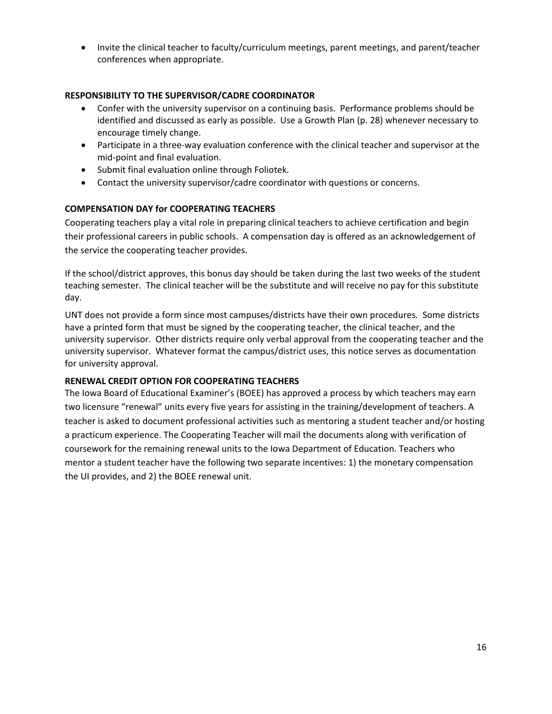• Invite the clinical teacher to faculty/curriculum meetings, parent meetings, and parent/teacher conferences when appropriate.

#### **RESPONSIBILITY TO THE SUPERVISOR/CADRE COORDINATOR**

- Confer with the university supervisor on a continuing basis. Performance problems should be identified and discussed as early as possible. Use a Growth Plan (p. 28) whenever necessary to encourage timely change.
- Participate in a three-way evaluation conference with the clinical teacher and supervisor at the mid-point and final evaluation.
- Submit final evaluation online through Foliotek.
- Contact the university supervisor/cadre coordinator with questions or concerns.

#### **COMPENSATION DAY for COOPERATING TEACHERS**

Cooperating teachers play a vital role in preparing clinical teachers to achieve certification and begin their professional careers in public schools. A compensation day is offered as an acknowledgement of the service the cooperating teacher provides.

If the school/district approves, this bonus day should be taken during the last two weeks of the student teaching semester. The clinical teacher will be the substitute and will receive no pay for this substitute day.

UNT does not provide a form since most campuses/districts have their own procedures. Some districts have a printed form that must be signed by the cooperating teacher, the clinical teacher, and the university supervisor. Other districts require only verbal approval from the cooperating teacher and the university supervisor. Whatever format the campus/district uses, this notice serves as documentation for university approval.

#### **RENEWAL CREDIT OPTION FOR COOPERATING TEACHERS**

The Iowa Board of Educational Examiner's (BOEE) has approved a process by which teachers may earn two licensure "renewal" units every five years for assisting in the training/development of teachers. A teacher is asked to document professional activities such as mentoring a student teacher and/or hosting a practicum experience. The Cooperating Teacher will mail the documents along with verification of coursework for the remaining renewal units to the Iowa Department of Education. Teachers who mentor a student teacher have the following two separate incentives: 1) the monetary compensation the UI provides, and 2) the BOEE renewal unit.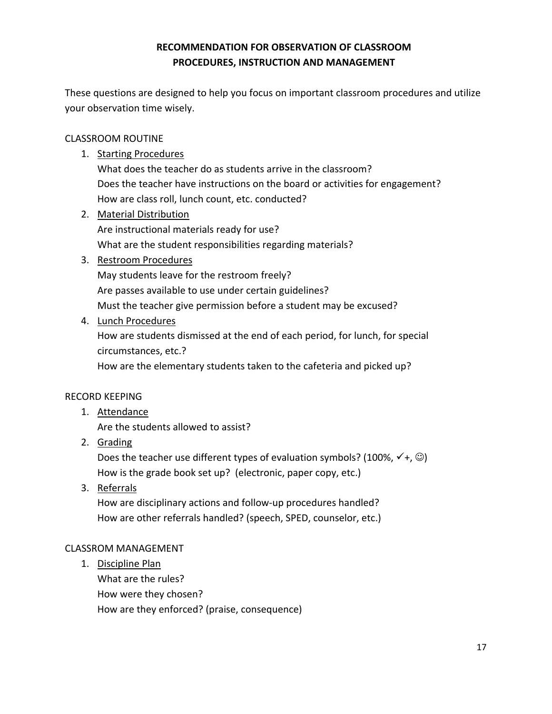## **RECOMMENDATION FOR OBSERVATION OF CLASSROOM PROCEDURES, INSTRUCTION AND MANAGEMENT**

These questions are designed to help you focus on important classroom procedures and utilize your observation time wisely.

## CLASSROOM ROUTINE

1. Starting Procedures

What does the teacher do as students arrive in the classroom? Does the teacher have instructions on the board or activities for engagement? How are class roll, lunch count, etc. conducted?

2. Material Distribution Are instructional materials ready for use? What are the student responsibilities regarding materials?

## 3. Restroom Procedures

May students leave for the restroom freely? Are passes available to use under certain guidelines? Must the teacher give permission before a student may be excused?

4. Lunch Procedures

How are students dismissed at the end of each period, for lunch, for special circumstances, etc.?

How are the elementary students taken to the cafeteria and picked up?

## RECORD KEEPING

1. Attendance

Are the students allowed to assist?

2. Grading

Does the teacher use different types of evaluation symbols? (100%,  $\checkmark$  +,  $\circledcirc$ ) How is the grade book set up? (electronic, paper copy, etc.)

3. Referrals

How are disciplinary actions and follow-up procedures handled? How are other referrals handled? (speech, SPED, counselor, etc.)

## CLASSROM MANAGEMENT

1. Discipline Plan What are the rules? How were they chosen? How are they enforced? (praise, consequence)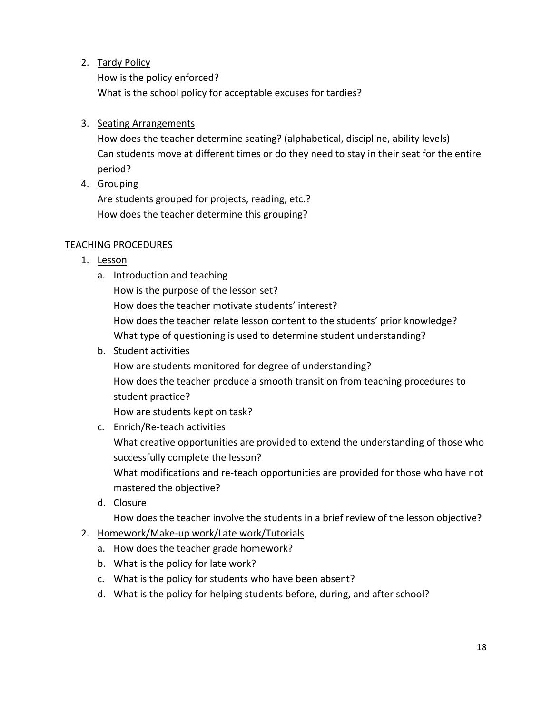2. Tardy Policy

How is the policy enforced? What is the school policy for acceptable excuses for tardies?

## 3. Seating Arrangements

How does the teacher determine seating? (alphabetical, discipline, ability levels) Can students move at different times or do they need to stay in their seat for the entire period?

4. Grouping

Are students grouped for projects, reading, etc.? How does the teacher determine this grouping?

## TEACHING PROCEDURES

- 1. Lesson
	- a. Introduction and teaching

How is the purpose of the lesson set? How does the teacher motivate students' interest?

How does the teacher relate lesson content to the students' prior knowledge? What type of questioning is used to determine student understanding?

b. Student activities

How are students monitored for degree of understanding? How does the teacher produce a smooth transition from teaching procedures to student practice?

How are students kept on task?

c. Enrich/Re-teach activities

What creative opportunities are provided to extend the understanding of those who successfully complete the lesson?

What modifications and re-teach opportunities are provided for those who have not mastered the objective?

d. Closure

How does the teacher involve the students in a brief review of the lesson objective?

- 2. Homework/Make-up work/Late work/Tutorials
	- a. How does the teacher grade homework?
	- b. What is the policy for late work?
	- c. What is the policy for students who have been absent?
	- d. What is the policy for helping students before, during, and after school?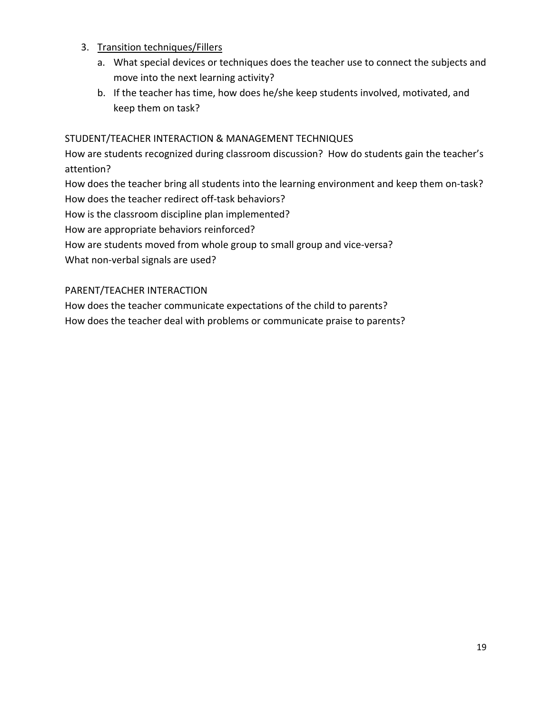## 3. Transition techniques/Fillers

- a. What special devices or techniques does the teacher use to connect the subjects and move into the next learning activity?
- b. If the teacher has time, how does he/she keep students involved, motivated, and keep them on task?

## STUDENT/TEACHER INTERACTION & MANAGEMENT TECHNIQUES

How are students recognized during classroom discussion? How do students gain the teacher's attention?

How does the teacher bring all students into the learning environment and keep them on-task? How does the teacher redirect off-task behaviors? How is the classroom discipline plan implemented?

How are appropriate behaviors reinforced?

How are students moved from whole group to small group and vice-versa?

What non-verbal signals are used?

## PARENT/TEACHER INTERACTION

How does the teacher communicate expectations of the child to parents?

How does the teacher deal with problems or communicate praise to parents?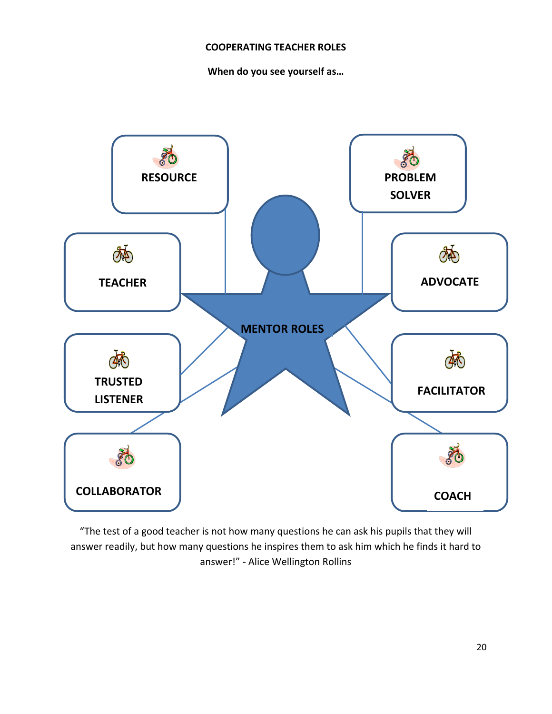#### **COOPERATING TEACHER ROLES**

**When do you see yourself as…**



"The test of a good teacher is not how many questions he can ask his pupils that they will answer readily, but how many questions he inspires them to ask him which he finds it hard to answer!" - Alice Wellington Rollins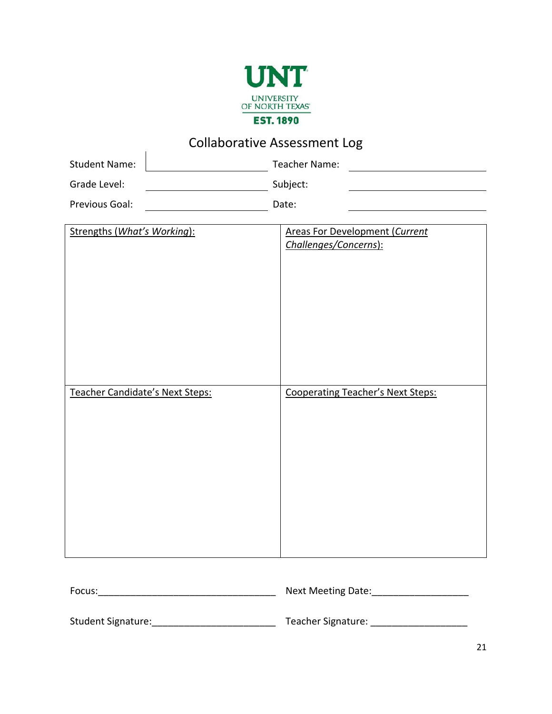

# Collaborative Assessment Log

| <u> 8811818611861188888881118118888</u> |  |               |  |
|-----------------------------------------|--|---------------|--|
| <b>Student Name:</b>                    |  | Teacher Name: |  |
| Grade Level:                            |  | Subject:      |  |
| Previous Goal:                          |  | Date:         |  |

| Strengths (What's Working):     | <b>Areas For Development (Current</b><br>Challenges/Concerns): |
|---------------------------------|----------------------------------------------------------------|
| Teacher Candidate's Next Steps: | Cooperating Teacher's Next Steps:                              |
|                                 |                                                                |

| Focus:             | Next Meeting Date: |
|--------------------|--------------------|
| Student Signature: | Teacher Signature: |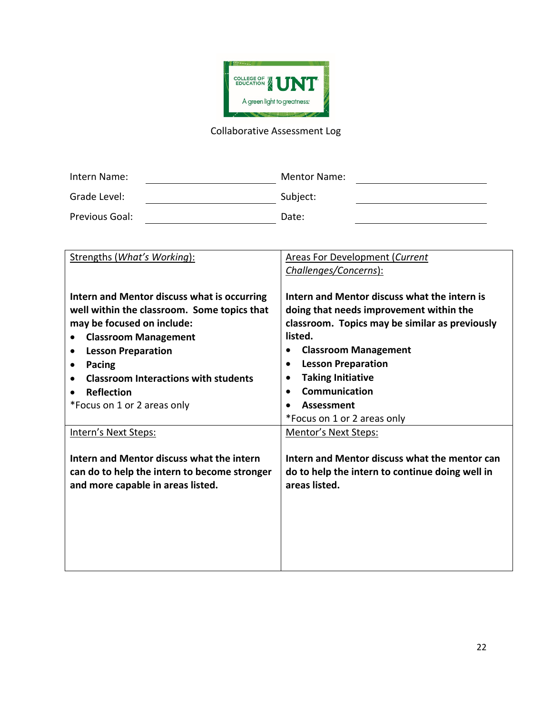

## Collaborative Assessment Log

| Intern Name:   | <b>Mentor Name:</b> |
|----------------|---------------------|
| Grade Level:   | Subject:            |
| Previous Goal: | Date:               |

| Strengths (What's Working):                                                                                                                                                                                                                                                                                         | <b>Areas For Development (Current</b><br>Challenges/Concerns):                                                                                                                                                                                                                                                                 |
|---------------------------------------------------------------------------------------------------------------------------------------------------------------------------------------------------------------------------------------------------------------------------------------------------------------------|--------------------------------------------------------------------------------------------------------------------------------------------------------------------------------------------------------------------------------------------------------------------------------------------------------------------------------|
|                                                                                                                                                                                                                                                                                                                     |                                                                                                                                                                                                                                                                                                                                |
| Intern and Mentor discuss what is occurring<br>well within the classroom. Some topics that<br>may be focused on include:<br><b>Classroom Management</b><br><b>Lesson Preparation</b><br>٠<br>Pacing<br>$\bullet$<br><b>Classroom Interactions with students</b><br><b>Reflection</b><br>*Focus on 1 or 2 areas only | Intern and Mentor discuss what the intern is<br>doing that needs improvement within the<br>classroom. Topics may be similar as previously<br>listed.<br><b>Classroom Management</b><br><b>Lesson Preparation</b><br>$\bullet$<br><b>Taking Initiative</b><br>Communication<br><b>Assessment</b><br>*Focus on 1 or 2 areas only |
| Intern's Next Steps:                                                                                                                                                                                                                                                                                                | <b>Mentor's Next Steps:</b>                                                                                                                                                                                                                                                                                                    |
| Intern and Mentor discuss what the intern<br>can do to help the intern to become stronger<br>and more capable in areas listed.                                                                                                                                                                                      | Intern and Mentor discuss what the mentor can<br>do to help the intern to continue doing well in<br>areas listed.                                                                                                                                                                                                              |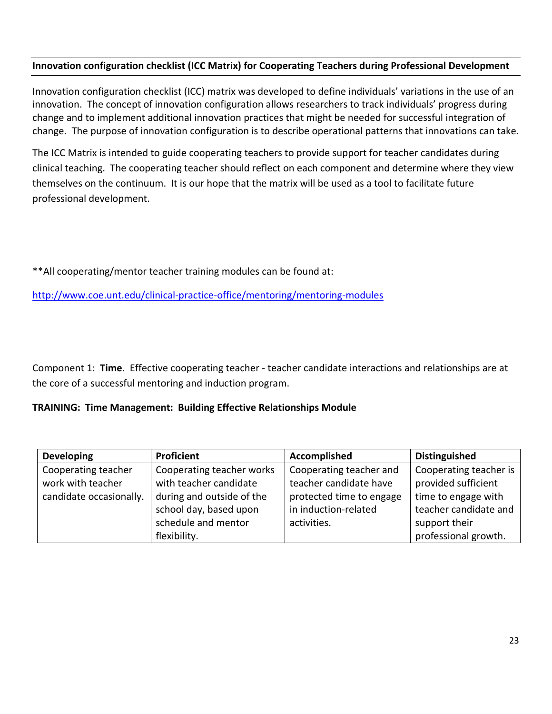## **Innovation configuration checklist (ICC Matrix) for Cooperating Teachers during Professional Development**

Innovation configuration checklist (ICC) matrix was developed to define individuals' variations in the use of an innovation. The concept of innovation configuration allows researchers to track individuals' progress during change and to implement additional innovation practices that might be needed for successful integration of change. The purpose of innovation configuration is to describe operational patterns that innovations can take.

The ICC Matrix is intended to guide cooperating teachers to provide support for teacher candidates during clinical teaching. The cooperating teacher should reflect on each component and determine where they view themselves on the continuum. It is our hope that the matrix will be used as a tool to facilitate future professional development.

\*\*All cooperating/mentor teacher training modules can be found at:

<http://www.coe.unt.edu/clinical-practice-office/mentoring/mentoring-modules>

Component 1: **Time**. Effective cooperating teacher - teacher candidate interactions and relationships are at the core of a successful mentoring and induction program.

## **TRAINING: Time Management: Building Effective Relationships Module**

| <b>Developing</b>       | Proficient                | <b>Accomplished</b>      | <b>Distinguished</b>   |
|-------------------------|---------------------------|--------------------------|------------------------|
| Cooperating teacher     | Cooperating teacher works | Cooperating teacher and  | Cooperating teacher is |
| work with teacher       | with teacher candidate    | teacher candidate have   | provided sufficient    |
| candidate occasionally. | during and outside of the | protected time to engage | time to engage with    |
|                         | school day, based upon    | in induction-related     | teacher candidate and  |
|                         | schedule and mentor       | activities.              | support their          |
|                         | flexibility.              |                          | professional growth.   |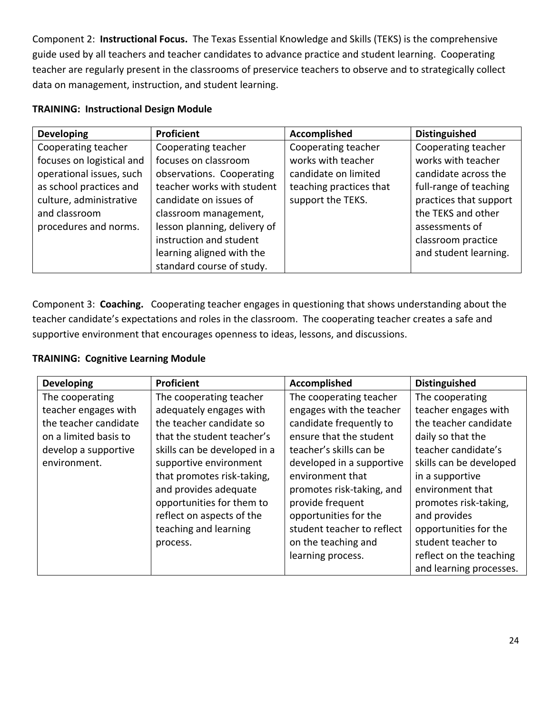Component 2: **Instructional Focus.** The Texas Essential Knowledge and Skills (TEKS) is the comprehensive guide used by all teachers and teacher candidates to advance practice and student learning. Cooperating teacher are regularly present in the classrooms of preservice teachers to observe and to strategically collect data on management, instruction, and student learning.

## **TRAINING: Instructional Design Module**

| <b>Developing</b>         | Proficient                   | Accomplished            | <b>Distinguished</b>   |
|---------------------------|------------------------------|-------------------------|------------------------|
| Cooperating teacher       | Cooperating teacher          | Cooperating teacher     | Cooperating teacher    |
| focuses on logistical and | focuses on classroom         | works with teacher      | works with teacher     |
| operational issues, such  | observations. Cooperating    | candidate on limited    | candidate across the   |
| as school practices and   | teacher works with student   | teaching practices that | full-range of teaching |
| culture, administrative   | candidate on issues of       | support the TEKS.       | practices that support |
| and classroom             | classroom management,        |                         | the TEKS and other     |
| procedures and norms.     | lesson planning, delivery of |                         | assessments of         |
|                           | instruction and student      |                         | classroom practice     |
|                           | learning aligned with the    |                         | and student learning.  |
|                           | standard course of study.    |                         |                        |

Component 3: **Coaching.** Cooperating teacher engages in questioning that shows understanding about the teacher candidate's expectations and roles in the classroom. The cooperating teacher creates a safe and supportive environment that encourages openness to ideas, lessons, and discussions.

## **TRAINING: Cognitive Learning Module**

| <b>Developing</b>     | Proficient                   | <b>Accomplished</b>        | <b>Distinguished</b>    |
|-----------------------|------------------------------|----------------------------|-------------------------|
| The cooperating       | The cooperating teacher      | The cooperating teacher    | The cooperating         |
| teacher engages with  | adequately engages with      | engages with the teacher   | teacher engages with    |
| the teacher candidate | the teacher candidate so     | candidate frequently to    | the teacher candidate   |
| on a limited basis to | that the student teacher's   | ensure that the student    | daily so that the       |
| develop a supportive  | skills can be developed in a | teacher's skills can be    | teacher candidate's     |
| environment.          | supportive environment       | developed in a supportive  | skills can be developed |
|                       | that promotes risk-taking,   | environment that           | in a supportive         |
|                       | and provides adequate        | promotes risk-taking, and  | environment that        |
|                       | opportunities for them to    | provide frequent           | promotes risk-taking,   |
|                       | reflect on aspects of the    | opportunities for the      | and provides            |
|                       | teaching and learning        | student teacher to reflect | opportunities for the   |
|                       | process.                     | on the teaching and        | student teacher to      |
|                       |                              | learning process.          | reflect on the teaching |
|                       |                              |                            | and learning processes. |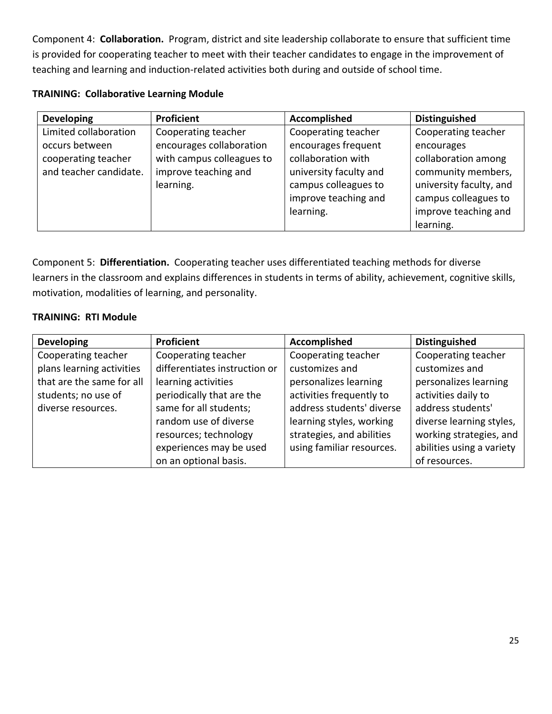Component 4: **Collaboration.** Program, district and site leadership collaborate to ensure that sufficient time is provided for cooperating teacher to meet with their teacher candidates to engage in the improvement of teaching and learning and induction-related activities both during and outside of school time.

|  | <b>TRAINING: Collaborative Learning Module</b> |  |  |
|--|------------------------------------------------|--|--|
|--|------------------------------------------------|--|--|

| <b>Developing</b>      | Proficient                | Accomplished           | <b>Distinguished</b>    |
|------------------------|---------------------------|------------------------|-------------------------|
| Limited collaboration  | Cooperating teacher       | Cooperating teacher    | Cooperating teacher     |
| occurs between         | encourages collaboration  | encourages frequent    | encourages              |
| cooperating teacher    | with campus colleagues to | collaboration with     | collaboration among     |
| and teacher candidate. | improve teaching and      | university faculty and | community members,      |
|                        | learning.                 | campus colleagues to   | university faculty, and |
|                        |                           | improve teaching and   | campus colleagues to    |
|                        |                           | learning.              | improve teaching and    |
|                        |                           |                        | learning.               |

Component 5: **Differentiation.** Cooperating teacher uses differentiated teaching methods for diverse learners in the classroom and explains differences in students in terms of ability, achievement, cognitive skills, motivation, modalities of learning, and personality.

## **TRAINING: RTI Module**

| <b>Developing</b>         | <b>Proficient</b>             | Accomplished              | <b>Distinguished</b>      |
|---------------------------|-------------------------------|---------------------------|---------------------------|
| Cooperating teacher       | Cooperating teacher           | Cooperating teacher       | Cooperating teacher       |
| plans learning activities | differentiates instruction or | customizes and            | customizes and            |
| that are the same for all | learning activities           | personalizes learning     | personalizes learning     |
| students; no use of       | periodically that are the     | activities frequently to  | activities daily to       |
| diverse resources.        | same for all students;        | address students' diverse | address students'         |
|                           | random use of diverse         | learning styles, working  | diverse learning styles,  |
|                           | resources; technology         | strategies, and abilities | working strategies, and   |
|                           | experiences may be used       | using familiar resources. | abilities using a variety |
|                           | on an optional basis.         |                           | of resources.             |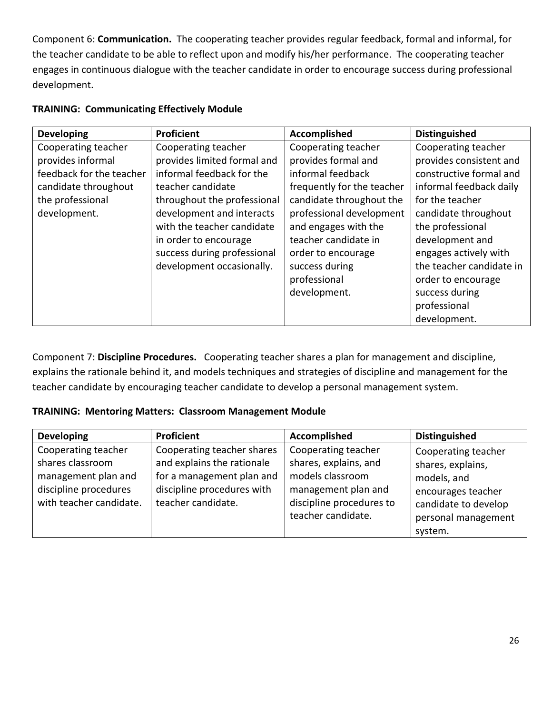Component 6: **Communication.** The cooperating teacher provides regular feedback, formal and informal, for the teacher candidate to be able to reflect upon and modify his/her performance. The cooperating teacher engages in continuous dialogue with the teacher candidate in order to encourage success during professional development.

| <b>Developing</b>        | <b>Proficient</b>           | <b>Accomplished</b>        | <b>Distinguished</b>     |
|--------------------------|-----------------------------|----------------------------|--------------------------|
| Cooperating teacher      | Cooperating teacher         | Cooperating teacher        | Cooperating teacher      |
| provides informal        | provides limited formal and | provides formal and        | provides consistent and  |
| feedback for the teacher | informal feedback for the   | informal feedback          | constructive formal and  |
| candidate throughout     | teacher candidate           | frequently for the teacher | informal feedback daily  |
| the professional         | throughout the professional | candidate throughout the   | for the teacher          |
| development.             | development and interacts   | professional development   | candidate throughout     |
|                          | with the teacher candidate  | and engages with the       | the professional         |
|                          | in order to encourage       | teacher candidate in       | development and          |
|                          | success during professional | order to encourage         | engages actively with    |
|                          | development occasionally.   | success during             | the teacher candidate in |
|                          |                             | professional               | order to encourage       |
|                          |                             | development.               | success during           |
|                          |                             |                            | professional             |
|                          |                             |                            | development.             |

## **TRAINING: Communicating Effectively Module**

Component 7: **Discipline Procedures.** Cooperating teacher shares a plan for management and discipline, explains the rationale behind it, and models techniques and strategies of discipline and management for the teacher candidate by encouraging teacher candidate to develop a personal management system.

## **TRAINING: Mentoring Matters: Classroom Management Module**

| <b>Developing</b>                                                                                                  | Proficient                                                                                                                                | Accomplished                                                                                                                              | <b>Distinguished</b>                                                                                                                    |
|--------------------------------------------------------------------------------------------------------------------|-------------------------------------------------------------------------------------------------------------------------------------------|-------------------------------------------------------------------------------------------------------------------------------------------|-----------------------------------------------------------------------------------------------------------------------------------------|
| Cooperating teacher<br>shares classroom<br>management plan and<br>discipline procedures<br>with teacher candidate. | Cooperating teacher shares<br>and explains the rationale<br>for a management plan and<br>discipline procedures with<br>teacher candidate. | Cooperating teacher<br>shares, explains, and<br>models classroom<br>management plan and<br>discipline procedures to<br>teacher candidate. | Cooperating teacher<br>shares, explains,<br>models, and<br>encourages teacher<br>candidate to develop<br>personal management<br>system. |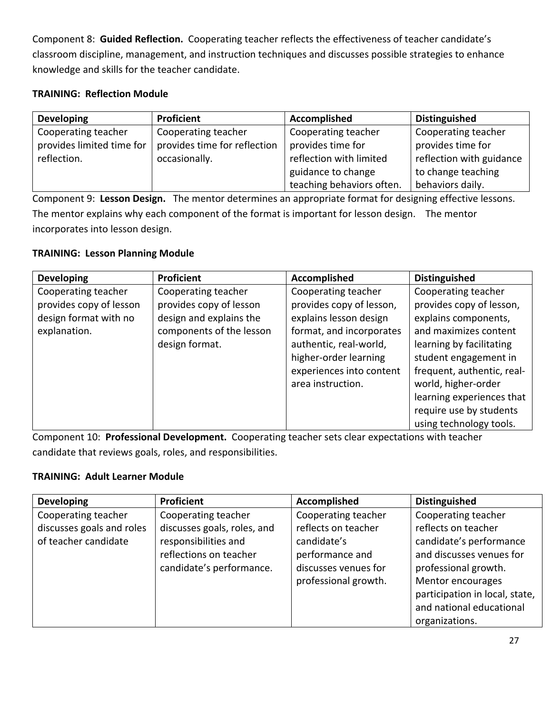Component 8: **Guided Reflection.** Cooperating teacher reflects the effectiveness of teacher candidate's classroom discipline, management, and instruction techniques and discusses possible strategies to enhance knowledge and skills for the teacher candidate.

## **TRAINING: Reflection Module**

| <b>Developing</b>         | <b>Proficient</b>            | Accomplished              | <b>Distinguished</b>     |
|---------------------------|------------------------------|---------------------------|--------------------------|
| Cooperating teacher       | Cooperating teacher          | Cooperating teacher       | Cooperating teacher      |
| provides limited time for | provides time for reflection | provides time for         | provides time for        |
| reflection.               | occasionally.                | reflection with limited   | reflection with guidance |
|                           |                              | guidance to change        | to change teaching       |
|                           |                              | teaching behaviors often. | behaviors daily.         |

Component 9: **Lesson Design.** The mentor determines an appropriate format for designing effective lessons. The mentor explains why each component of the format is important for lesson design. The mentor incorporates into lesson design.

## **TRAINING: Lesson Planning Module**

| <b>Developing</b>       | Proficient               | Accomplished             | <b>Distinguished</b>       |
|-------------------------|--------------------------|--------------------------|----------------------------|
| Cooperating teacher     | Cooperating teacher      | Cooperating teacher      | Cooperating teacher        |
| provides copy of lesson | provides copy of lesson  | provides copy of lesson, | provides copy of lesson,   |
| design format with no   | design and explains the  | explains lesson design   | explains components,       |
| explanation.            | components of the lesson | format, and incorporates | and maximizes content      |
|                         | design format.           | authentic, real-world,   | learning by facilitating   |
|                         |                          | higher-order learning    | student engagement in      |
|                         |                          | experiences into content | frequent, authentic, real- |
|                         |                          | area instruction.        | world, higher-order        |
|                         |                          |                          | learning experiences that  |
|                         |                          |                          | require use by students    |
|                         |                          |                          | using technology tools.    |

Component 10: **Professional Development.** Cooperating teacher sets clear expectations with teacher candidate that reviews goals, roles, and responsibilities.

## **TRAINING: Adult Learner Module**

| <b>Developing</b>         | Proficient                  | Accomplished         | <b>Distinguished</b>           |
|---------------------------|-----------------------------|----------------------|--------------------------------|
| Cooperating teacher       | Cooperating teacher         | Cooperating teacher  | Cooperating teacher            |
| discusses goals and roles | discusses goals, roles, and | reflects on teacher  | reflects on teacher            |
| of teacher candidate      | responsibilities and        | candidate's          | candidate's performance        |
|                           | reflections on teacher      | performance and      | and discusses venues for       |
|                           | candidate's performance.    | discusses venues for | professional growth.           |
|                           |                             | professional growth. | Mentor encourages              |
|                           |                             |                      | participation in local, state, |
|                           |                             |                      | and national educational       |
|                           |                             |                      | organizations.                 |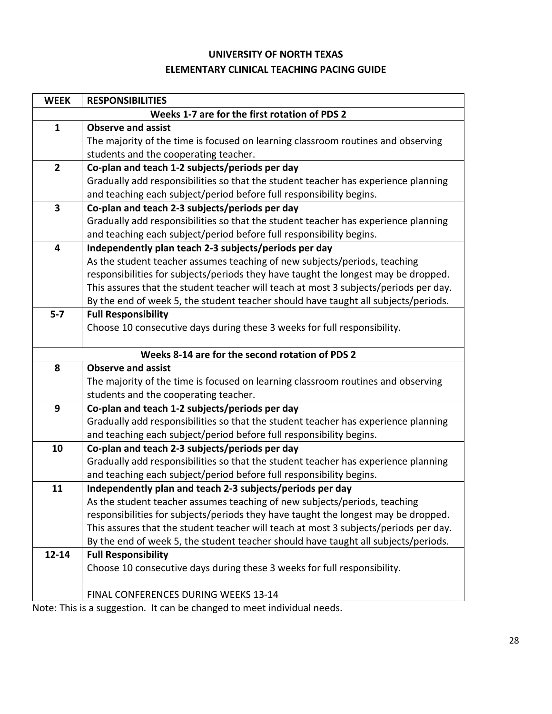## **UNIVERSITY OF NORTH TEXAS ELEMENTARY CLINICAL TEACHING PACING GUIDE**

| <b>WEEK</b>    | <b>RESPONSIBILITIES</b>                                                              |  |  |  |
|----------------|--------------------------------------------------------------------------------------|--|--|--|
|                | Weeks 1-7 are for the first rotation of PDS 2                                        |  |  |  |
| $\mathbf{1}$   | <b>Observe and assist</b>                                                            |  |  |  |
|                | The majority of the time is focused on learning classroom routines and observing     |  |  |  |
|                | students and the cooperating teacher.                                                |  |  |  |
| $\overline{2}$ | Co-plan and teach 1-2 subjects/periods per day                                       |  |  |  |
|                | Gradually add responsibilities so that the student teacher has experience planning   |  |  |  |
|                | and teaching each subject/period before full responsibility begins.                  |  |  |  |
| 3              | Co-plan and teach 2-3 subjects/periods per day                                       |  |  |  |
|                | Gradually add responsibilities so that the student teacher has experience planning   |  |  |  |
|                | and teaching each subject/period before full responsibility begins.                  |  |  |  |
| 4              | Independently plan teach 2-3 subjects/periods per day                                |  |  |  |
|                | As the student teacher assumes teaching of new subjects/periods, teaching            |  |  |  |
|                | responsibilities for subjects/periods they have taught the longest may be dropped.   |  |  |  |
|                | This assures that the student teacher will teach at most 3 subjects/periods per day. |  |  |  |
|                | By the end of week 5, the student teacher should have taught all subjects/periods.   |  |  |  |
| $5 - 7$        | <b>Full Responsibility</b>                                                           |  |  |  |
|                | Choose 10 consecutive days during these 3 weeks for full responsibility.             |  |  |  |
|                |                                                                                      |  |  |  |
|                | Weeks 8-14 are for the second rotation of PDS 2                                      |  |  |  |
| 8              | <b>Observe and assist</b>                                                            |  |  |  |
|                | The majority of the time is focused on learning classroom routines and observing     |  |  |  |
|                | students and the cooperating teacher.                                                |  |  |  |
| 9              | Co-plan and teach 1-2 subjects/periods per day                                       |  |  |  |
|                | Gradually add responsibilities so that the student teacher has experience planning   |  |  |  |
|                | and teaching each subject/period before full responsibility begins.                  |  |  |  |
| 10             | Co-plan and teach 2-3 subjects/periods per day                                       |  |  |  |
|                | Gradually add responsibilities so that the student teacher has experience planning   |  |  |  |
|                | and teaching each subject/period before full responsibility begins.                  |  |  |  |
| 11             | Independently plan and teach 2-3 subjects/periods per day                            |  |  |  |
|                | As the student teacher assumes teaching of new subjects/periods, teaching            |  |  |  |
|                | responsibilities for subjects/periods they have taught the longest may be dropped.   |  |  |  |
|                | This assures that the student teacher will teach at most 3 subjects/periods per day. |  |  |  |
|                | By the end of week 5, the student teacher should have taught all subjects/periods.   |  |  |  |
| $12 - 14$      | <b>Full Responsibility</b>                                                           |  |  |  |
|                | Choose 10 consecutive days during these 3 weeks for full responsibility.             |  |  |  |
|                | FINAL CONFERENCES DURING WEEKS 13-14                                                 |  |  |  |
|                |                                                                                      |  |  |  |

Note: This is a suggestion. It can be changed to meet individual needs.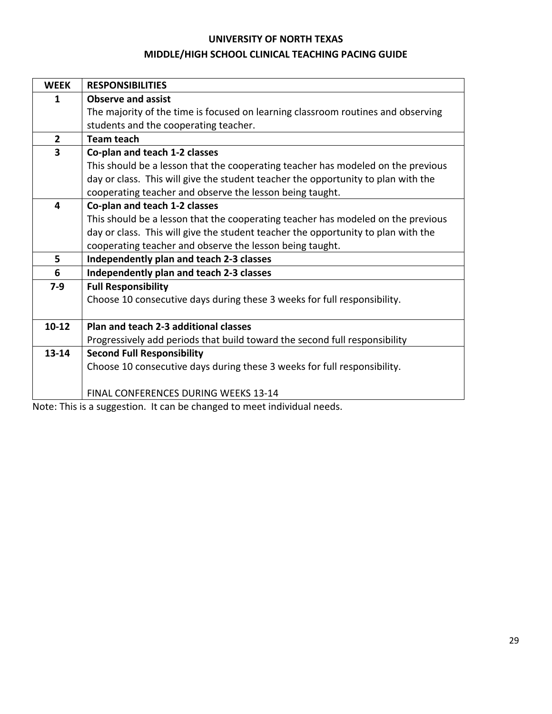#### **UNIVERSITY OF NORTH TEXAS**

## **MIDDLE/HIGH SCHOOL CLINICAL TEACHING PACING GUIDE**

| <b>WEEK</b>             | <b>RESPONSIBILITIES</b>                                                           |
|-------------------------|-----------------------------------------------------------------------------------|
| $\mathbf{1}$            | <b>Observe and assist</b>                                                         |
|                         | The majority of the time is focused on learning classroom routines and observing  |
|                         | students and the cooperating teacher.                                             |
| $\overline{2}$          | Team teach                                                                        |
| $\overline{\mathbf{3}}$ | Co-plan and teach 1-2 classes                                                     |
|                         | This should be a lesson that the cooperating teacher has modeled on the previous  |
|                         | day or class. This will give the student teacher the opportunity to plan with the |
|                         | cooperating teacher and observe the lesson being taught.                          |
| 4                       | Co-plan and teach 1-2 classes                                                     |
|                         | This should be a lesson that the cooperating teacher has modeled on the previous  |
|                         | day or class. This will give the student teacher the opportunity to plan with the |
|                         | cooperating teacher and observe the lesson being taught.                          |
| 5                       | Independently plan and teach 2-3 classes                                          |
| 6                       | Independently plan and teach 2-3 classes                                          |
| $7-9$                   | <b>Full Responsibility</b>                                                        |
|                         | Choose 10 consecutive days during these 3 weeks for full responsibility.          |
|                         |                                                                                   |
| $10-12$                 | Plan and teach 2-3 additional classes                                             |
|                         | Progressively add periods that build toward the second full responsibility        |
| $13 - 14$               | <b>Second Full Responsibility</b>                                                 |
|                         | Choose 10 consecutive days during these 3 weeks for full responsibility.          |
|                         |                                                                                   |
|                         | FINAL CONFERENCES DURING WEEKS 13-14                                              |

Note: This is a suggestion. It can be changed to meet individual needs.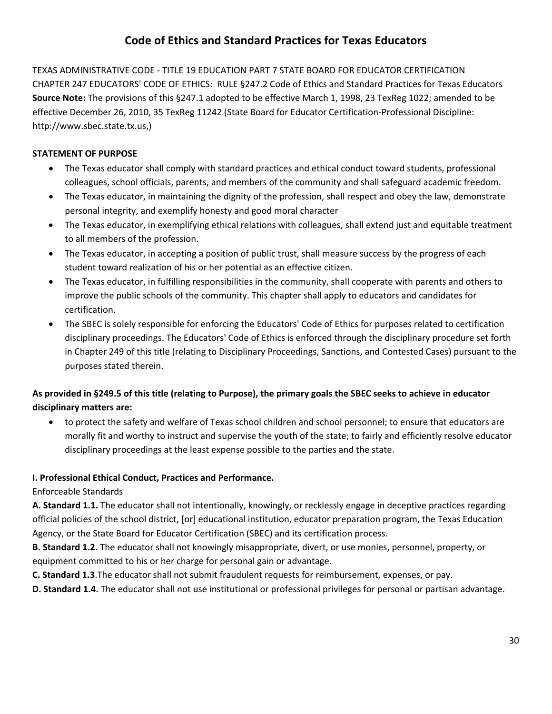## **Code of Ethics and Standard Practices for Texas Educators**

TEXAS ADMINISTRATIVE CODE - TITLE 19 EDUCATION PART 7 STATE BOARD FOR EDUCATOR CERTIFICATION CHAPTER 247 EDUCATORS' CODE OF ETHICS: RULE §247.2 Code of Ethics and Standard Practices for Texas Educators **Source Note:** The provisions of this §247.1 adopted to be effective March 1, 1998, 23 TexReg 1022; amended to be effective December 26, 2010, 35 TexReg 11242 (State Board for Educator Certification-Professional Discipline: http://www.sbec.state.tx.us,)

#### **STATEMENT OF PURPOSE**

- The Texas educator shall comply with standard practices and ethical conduct toward students, professional colleagues, school officials, parents, and members of the community and shall safeguard academic freedom.
- The Texas educator, in maintaining the dignity of the profession, shall respect and obey the law, demonstrate personal integrity, and exemplify honesty and good moral character
- The Texas educator, in exemplifying ethical relations with colleagues, shall extend just and equitable treatment to all members of the profession.
- The Texas educator, in accepting a position of public trust, shall measure success by the progress of each student toward realization of his or her potential as an effective citizen.
- The Texas educator, in fulfilling responsibilities in the community, shall cooperate with parents and others to improve the public schools of the community. This chapter shall apply to educators and candidates for certification.
- The SBEC is solely responsible for enforcing the Educators' Code of Ethics for purposes related to certification disciplinary proceedings. The Educators' Code of Ethics is enforced through the disciplinary procedure set forth in Chapter 249 of this title (relating to Disciplinary Proceedings, Sanctions, and Contested Cases) pursuant to the purposes stated therein.

## **As provided in §249.5 of this title (relating to Purpose), the primary goals the SBEC seeks to achieve in educator disciplinary matters are:**

• to protect the safety and welfare of Texas school children and school personnel; to ensure that educators are morally fit and worthy to instruct and supervise the youth of the state; to fairly and efficiently resolve educator disciplinary proceedings at the least expense possible to the parties and the state.

## **I. Professional Ethical Conduct, Practices and Performance.**

#### Enforceable Standards

**A. Standard 1.1.** The educator shall not intentionally, knowingly, or recklessly engage in deceptive practices regarding official policies of the school district, [or] educational institution, educator preparation program, the Texas Education Agency, or the State Board for Educator Certification (SBEC) and its certification process.

**B. Standard 1.2.** The educator shall not knowingly misappropriate, divert, or use monies, personnel, property, or equipment committed to his or her charge for personal gain or advantage.

**C. Standard 1.3**.The educator shall not submit fraudulent requests for reimbursement, expenses, or pay.

**D. Standard 1.4.** The educator shall not use institutional or professional privileges for personal or partisan advantage.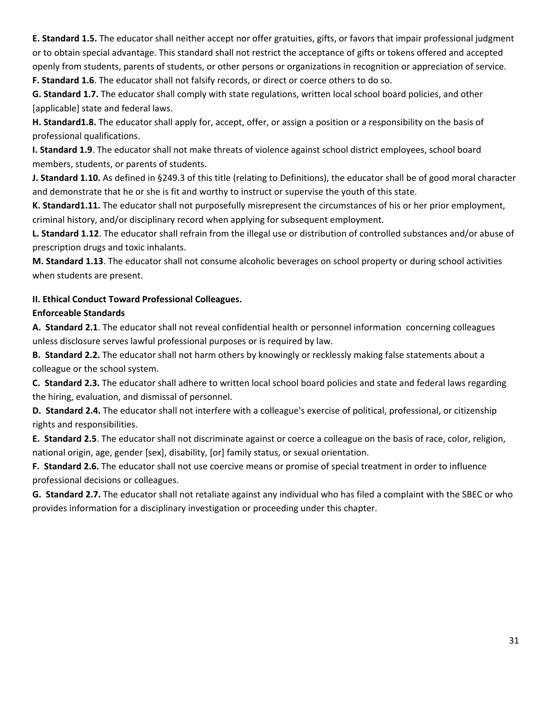**E. Standard 1.5.** The educator shall neither accept nor offer gratuities, gifts, or favors that impair professional judgment or to obtain special advantage. This standard shall not restrict the acceptance of gifts or tokens offered and accepted openly from students, parents of students, or other persons or organizations in recognition or appreciation of service.

**F. Standard 1.6**. The educator shall not falsify records, or direct or coerce others to do so.

**G. Standard 1.7.** The educator shall comply with state regulations, written local school board policies, and other [applicable] state and federal laws.

**H. Standard1.8.** The educator shall apply for, accept, offer, or assign a position or a responsibility on the basis of professional qualifications.

**I. Standard 1.9**. The educator shall not make threats of violence against school district employees, school board members, students, or parents of students.

**J. Standard 1.10.** As defined in §249.3 of this title (relating to Definitions), the educator shall be of good moral character and demonstrate that he or she is fit and worthy to instruct or supervise the youth of this state.

**K. Standard1.11.** The educator shall not purposefully misrepresent the circumstances of his or her prior employment, criminal history, and/or disciplinary record when applying for subsequent employment.

**L. Standard 1.12**. The educator shall refrain from the illegal use or distribution of controlled substances and/or abuse of prescription drugs and toxic inhalants.

**M. Standard 1.13**. The educator shall not consume alcoholic beverages on school property or during school activities when students are present.

## **II. Ethical Conduct Toward Professional Colleagues.**

## **Enforceable Standards**

**A. Standard 2.1**. The educator shall not reveal confidential health or personnel information concerning colleagues unless disclosure serves lawful professional purposes or is required by law.

**B. Standard 2.2.** The educator shall not harm others by knowingly or recklessly making false statements about a colleague or the school system.

**C. Standard 2.3.** The educator shall adhere to written local school board policies and state and federal laws regarding the hiring, evaluation, and dismissal of personnel.

**D. Standard 2.4.** The educator shall not interfere with a colleague's exercise of political, professional, or citizenship rights and responsibilities.

**E. Standard 2.5**. The educator shall not discriminate against or coerce a colleague on the basis of race, color, religion, national origin, age, gender [sex], disability, [or] family status, or sexual orientation.

**F. Standard 2.6.** The educator shall not use coercive means or promise of special treatment in order to influence professional decisions or colleagues.

**G. Standard 2.7.** The educator shall not retaliate against any individual who has filed a complaint with the SBEC or who provides information for a disciplinary investigation or proceeding under this chapter.